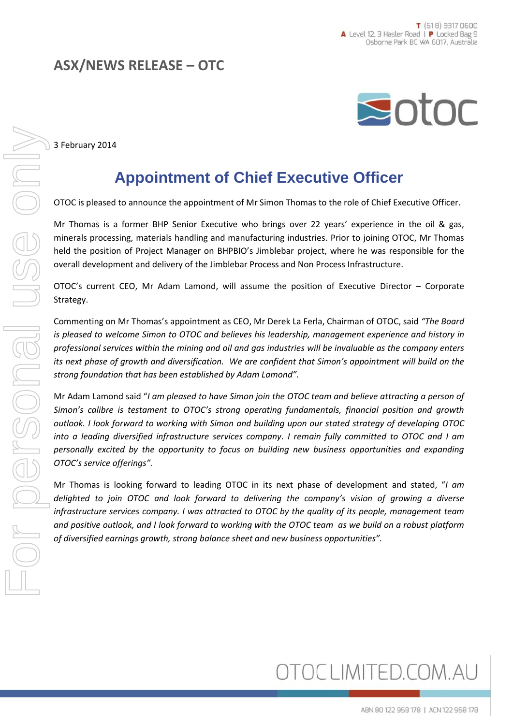## **ASX/NEWS RELEASE – OTC**



3 February 2014

## **Appointment of Chief Executive Officer**

OTOC is pleased to announce the appointment of Mr Simon Thomas to the role of Chief Executive Officer.

Mr Thomas is a former BHP Senior Executive who brings over 22 years' experience in the oil & gas, minerals processing, materials handling and manufacturing industries. Prior to joining OTOC, Mr Thomas held the position of Project Manager on BHPBIO's Jimblebar project, where he was responsible for the overall development and delivery of the Jimblebar Process and Non Process Infrastructure.

OTOC's current CEO, Mr Adam Lamond, will assume the position of Executive Director – Corporate Strategy.

Commenting on Mr Thomas's appointment as CEO, Mr Derek La Ferla, Chairman of OTOC, said *"The Board is pleased to welcome Simon to OTOC and believes his leadership, management experience and history in professional services within the mining and oil and gas industries will be invaluable as the company enters its next phase of growth and diversification. We are confident that Simon's appointment will build on the strong foundation that has been established by Adam Lamond".* 

Mr Adam Lamond said "*I am pleased to have Simon join the OTOC team and believe attracting a person of Simon's calibre is testament to OTOC's strong operating fundamentals, financial position and growth outlook. I look forward to working with Simon and building upon our stated strategy of developing OTOC into a leading diversified infrastructure services company. I remain fully committed to OTOC and I am personally excited by the opportunity to focus on building new business opportunities and expanding OTOC's service offerings".* 

Mr Thomas is looking forward to leading OTOC in its next phase of development and stated, "*I am delighted to join OTOC and look forward to delivering the company's vision of growing a diverse infrastructure services company. I was attracted to OTOC by the quality of its people, management team and positive outlook, and I look forward to working with the OTOC team as we build on a robust platform of diversified earnings growth, strong balance sheet and new business opportunities".*